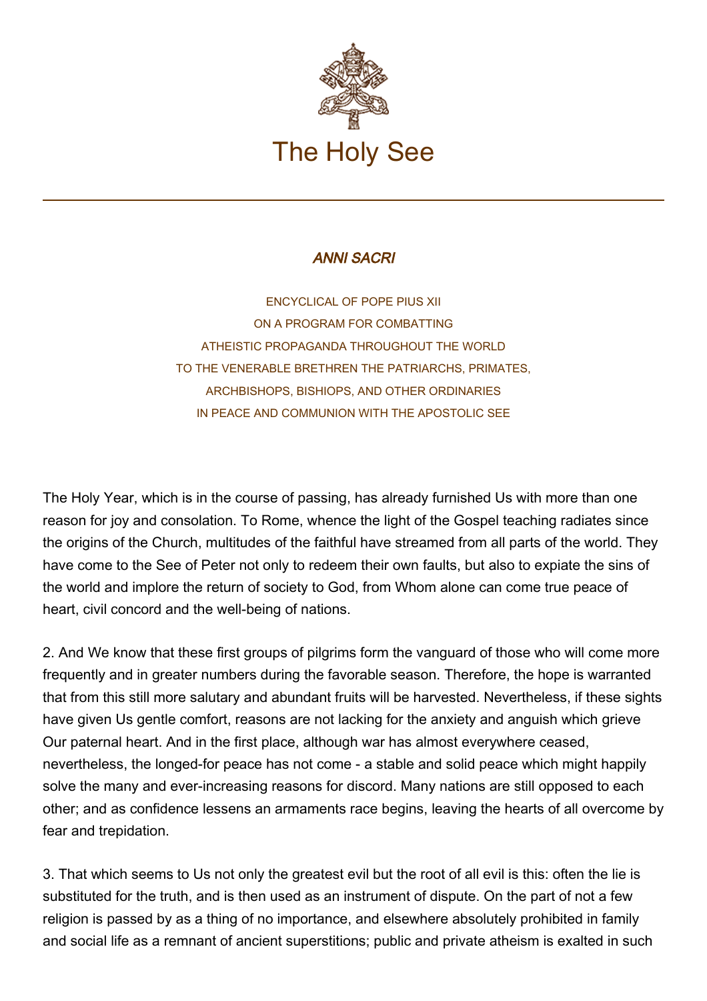

## ANNI SACRI

ENCYCLICAL OF POPE PIUS XII ON A PROGRAM FOR COMBATTING ATHEISTIC PROPAGANDA THROUGHOUT THE WORLD TO THE VENERABLE BRETHREN THE PATRIARCHS, PRIMATES, ARCHBISHOPS, BISHIOPS, AND OTHER ORDINARIES IN PEACE AND COMMUNION WITH THE APOSTOLIC SEE

The Holy Year, which is in the course of passing, has already furnished Us with more than one reason for joy and consolation. To Rome, whence the light of the Gospel teaching radiates since the origins of the Church, multitudes of the faithful have streamed from all parts of the world. They have come to the See of Peter not only to redeem their own faults, but also to expiate the sins of the world and implore the return of society to God, from Whom alone can come true peace of heart, civil concord and the well-being of nations.

2. And We know that these first groups of pilgrims form the vanguard of those who will come more frequently and in greater numbers during the favorable season. Therefore, the hope is warranted that from this still more salutary and abundant fruits will be harvested. Nevertheless, if these sights have given Us gentle comfort, reasons are not lacking for the anxiety and anguish which grieve Our paternal heart. And in the first place, although war has almost everywhere ceased, nevertheless, the longed-for peace has not come - a stable and solid peace which might happily solve the many and ever-increasing reasons for discord. Many nations are still opposed to each other; and as confidence lessens an armaments race begins, leaving the hearts of all overcome by fear and trepidation.

3. That which seems to Us not only the greatest evil but the root of all evil is this: often the lie is substituted for the truth, and is then used as an instrument of dispute. On the part of not a few religion is passed by as a thing of no importance, and elsewhere absolutely prohibited in family and social life as a remnant of ancient superstitions; public and private atheism is exalted in such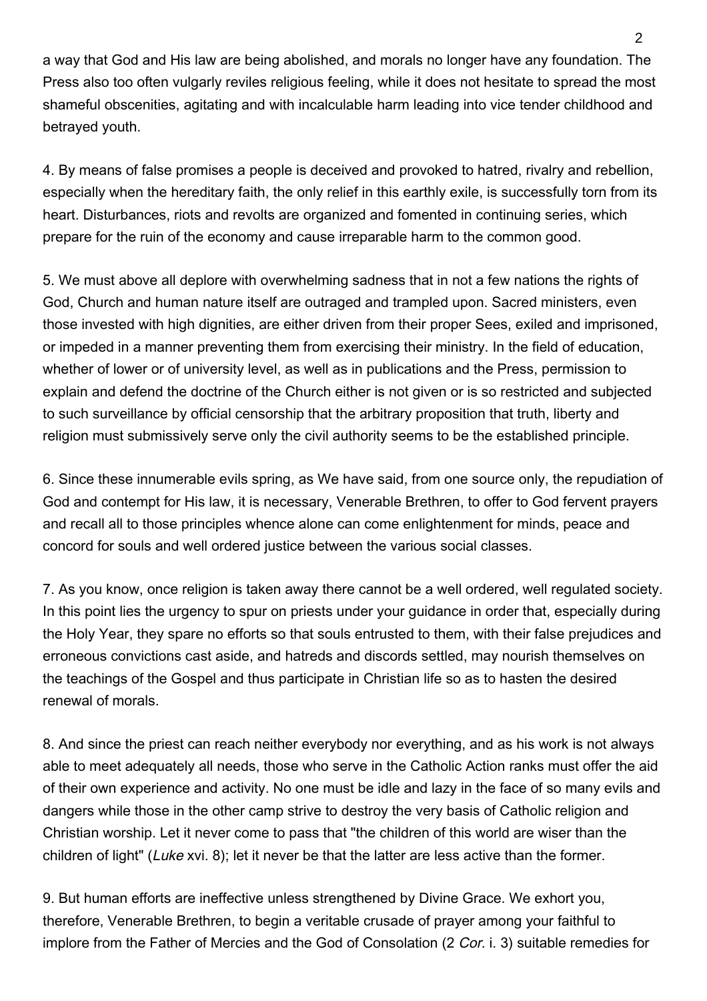a way that God and His law are being abolished, and morals no longer have any foundation. The Press also too often vulgarly reviles religious feeling, while it does not hesitate to spread the most shameful obscenities, agitating and with incalculable harm leading into vice tender childhood and betrayed youth.

4. By means of false promises a people is deceived and provoked to hatred, rivalry and rebellion, especially when the hereditary faith, the only relief in this earthly exile, is successfully torn from its heart. Disturbances, riots and revolts are organized and fomented in continuing series, which prepare for the ruin of the economy and cause irreparable harm to the common good.

5. We must above all deplore with overwhelming sadness that in not a few nations the rights of God, Church and human nature itself are outraged and trampled upon. Sacred ministers, even those invested with high dignities, are either driven from their proper Sees, exiled and imprisoned, or impeded in a manner preventing them from exercising their ministry. In the field of education, whether of lower or of university level, as well as in publications and the Press, permission to explain and defend the doctrine of the Church either is not given or is so restricted and subjected to such surveillance by official censorship that the arbitrary proposition that truth, liberty and religion must submissively serve only the civil authority seems to be the established principle.

6. Since these innumerable evils spring, as We have said, from one source only, the repudiation of God and contempt for His law, it is necessary, Venerable Brethren, to offer to God fervent prayers and recall all to those principles whence alone can come enlightenment for minds, peace and concord for souls and well ordered justice between the various social classes.

7. As you know, once religion is taken away there cannot be a well ordered, well regulated society. In this point lies the urgency to spur on priests under your guidance in order that, especially during the Holy Year, they spare no efforts so that souls entrusted to them, with their false prejudices and erroneous convictions cast aside, and hatreds and discords settled, may nourish themselves on the teachings of the Gospel and thus participate in Christian life so as to hasten the desired renewal of morals.

8. And since the priest can reach neither everybody nor everything, and as his work is not always able to meet adequately all needs, those who serve in the Catholic Action ranks must offer the aid of their own experience and activity. No one must be idle and lazy in the face of so many evils and dangers while those in the other camp strive to destroy the very basis of Catholic religion and Christian worship. Let it never come to pass that "the children of this world are wiser than the children of light" (Luke xvi. 8); let it never be that the latter are less active than the former.

9. But human efforts are ineffective unless strengthened by Divine Grace. We exhort you, therefore, Venerable Brethren, to begin a veritable crusade of prayer among your faithful to implore from the Father of Mercies and the God of Consolation (2 Cor. i. 3) suitable remedies for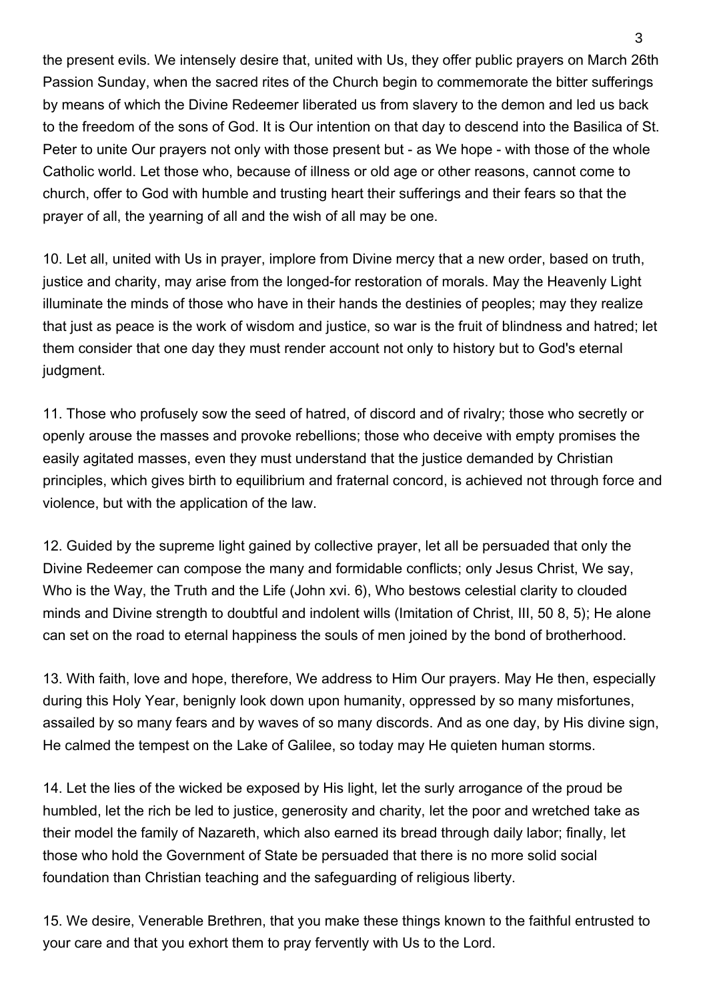the present evils. We intensely desire that, united with Us, they offer public prayers on March 26th Passion Sunday, when the sacred rites of the Church begin to commemorate the bitter sufferings by means of which the Divine Redeemer liberated us from slavery to the demon and led us back to the freedom of the sons of God. It is Our intention on that day to descend into the Basilica of St. Peter to unite Our prayers not only with those present but - as We hope - with those of the whole Catholic world. Let those who, because of illness or old age or other reasons, cannot come to church, offer to God with humble and trusting heart their sufferings and their fears so that the prayer of all, the yearning of all and the wish of all may be one.

10. Let all, united with Us in prayer, implore from Divine mercy that a new order, based on truth, justice and charity, may arise from the longed-for restoration of morals. May the Heavenly Light illuminate the minds of those who have in their hands the destinies of peoples; may they realize that just as peace is the work of wisdom and justice, so war is the fruit of blindness and hatred; let them consider that one day they must render account not only to history but to God's eternal judgment.

11. Those who profusely sow the seed of hatred, of discord and of rivalry; those who secretly or openly arouse the masses and provoke rebellions; those who deceive with empty promises the easily agitated masses, even they must understand that the justice demanded by Christian principles, which gives birth to equilibrium and fraternal concord, is achieved not through force and violence, but with the application of the law.

12. Guided by the supreme light gained by collective prayer, let all be persuaded that only the Divine Redeemer can compose the many and formidable conflicts; only Jesus Christ, We say, Who is the Way, the Truth and the Life (John xvi. 6), Who bestows celestial clarity to clouded minds and Divine strength to doubtful and indolent wills (Imitation of Christ, III, 50 8, 5); He alone can set on the road to eternal happiness the souls of men joined by the bond of brotherhood.

13. With faith, love and hope, therefore, We address to Him Our prayers. May He then, especially during this Holy Year, benignly look down upon humanity, oppressed by so many misfortunes, assailed by so many fears and by waves of so many discords. And as one day, by His divine sign, He calmed the tempest on the Lake of Galilee, so today may He quieten human storms.

14. Let the lies of the wicked be exposed by His light, let the surly arrogance of the proud be humbled, let the rich be led to justice, generosity and charity, let the poor and wretched take as their model the family of Nazareth, which also earned its bread through daily labor; finally, let those who hold the Government of State be persuaded that there is no more solid social foundation than Christian teaching and the safeguarding of religious liberty.

15. We desire, Venerable Brethren, that you make these things known to the faithful entrusted to your care and that you exhort them to pray fervently with Us to the Lord.